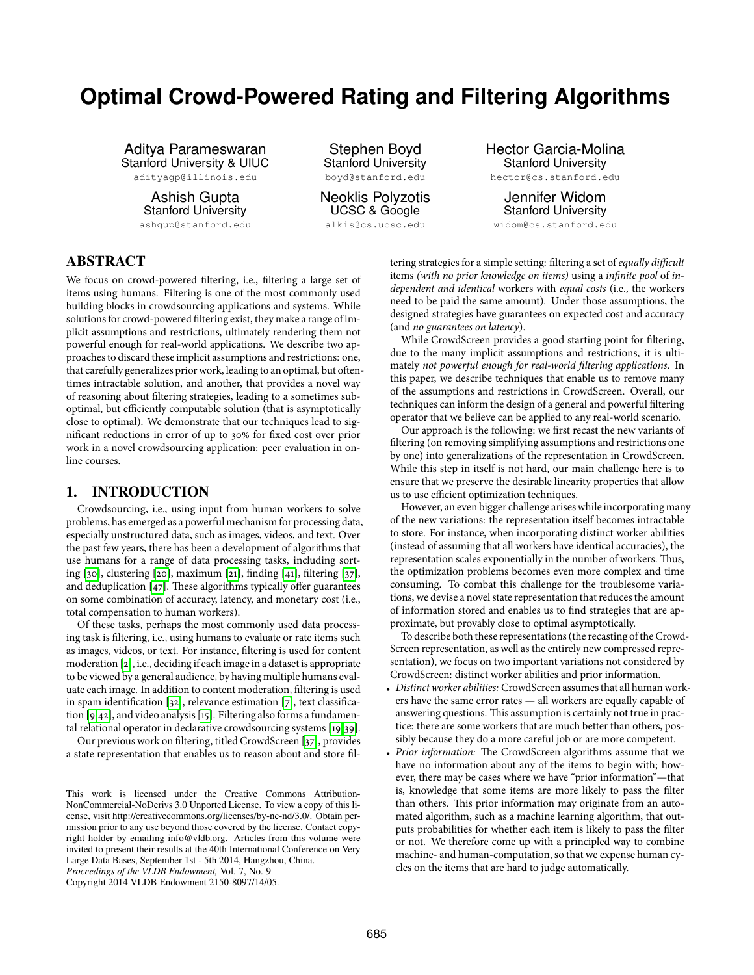# **Optimal Crowd-Powered Rating and Filtering Algorithms**

Aditya Parameswaran Stanford University & UIUC adityagp@illinois.edu

> Ashish Gupta Stanford University ashgup@stanford.edu

Stephen Boyd Stanford University boyd@stanford.edu

Neoklis Polyzotis UCSC & Google alkis@cs.ucsc.edu

Hector Garcia-Molina Stanford University hector@cs.stanford.edu

Jennifer Widom Stanford University widom@cs.stanford.edu

# ABSTRACT

We focus on crowd-powered filtering, i.e., filtering a large set of items using humans. Filtering is one of the most commonly used building blocks in crowdsourcing applications and systems. While solutions for crowd-powered filtering exist, they make a range of implicit assumptions and restrictions, ultimately rendering them not powerful enough for real-world applications. We describe two approaches to discard these implicit assumptions and restrictions: one, that carefully generalizes prior work, leading to an optimal, but oftentimes intractable solution, and another, that provides a novel way of reasoning about filtering strategies, leading to a sometimes suboptimal, but efficiently computable solution (that is asymptotically close to optimal). We demonstrate that our techniques lead to significant reductions in error of up to 30% for fixed cost over prior work in a novel crowdsourcing application: peer evaluation in online courses.

## 1. INTRODUCTION

Crowdsourcing, i.e., using input from human workers to solve problems, has emerged as a powerful mechanism for processing data, especially unstructured data, such as images, videos, and text. Over the past few years, there has been a development of algorithms that use humans for a range of data processing tasks, including sorting  $[30]$ , clustering  $[20]$ , maximum  $[21]$ , finding  $[41]$ , filtering  $[37]$ , and deduplication  $[47]$ . These algorithms typically offer guarantees on some combination of accuracy, latency, and monetary cost (i.e., total compensation to human workers).

Of these tasks, perhaps the most commonly used data processing task is filtering, i.e., using humans to evaluate or rate items such as images, videos, or text. For instance, filtering is used for content moderation [\[2\]](#page-11-6), i.e., deciding if each image in a dataset is appropriate to be viewed by a general audience, by having multiple humans evaluate each image. In addition to content moderation, filtering is used in spam identification  $[32]$ , relevance estimation  $[7]$ , text classification [\[9,](#page-11-9)[42\]](#page-11-10), and video analysis [\[15\]](#page-11-11). Filtering also forms a fundamental relational operator in declarative crowdsourcing systems [\[19,](#page-11-12)[39\]](#page-11-13).

Our previous work on filtering, titled CrowdScreen [\[37\]](#page-11-4), provides a state representation that enables us to reason about and store fil-

*Proceedings of the VLDB Endowment,* Vol. 7, No. 9

Copyright 2014 VLDB Endowment 2150-8097/14/05.

tering strategies for a simple setting: filtering a set of equally difficult items (with no prior knowledge on items) using a infinite pool of independent and identical workers with equal costs (i.e., the workers need to be paid the same amount). Under those assumptions, the designed strategies have guarantees on expected cost and accuracy (and no guarantees on latency).

While CrowdScreen provides a good starting point for filtering, due to the many implicit assumptions and restrictions, it is ultimately not powerful enough for real-world filtering applications. In this paper, we describe techniques that enable us to remove many of the assumptions and restrictions in CrowdScreen. Overall, our techniques can inform the design of a general and powerful filtering operator that we believe can be applied to any real-world scenario.

Our approach is the following: we first recast the new variants of filtering (on removing simplifying assumptions and restrictions one by one) into generalizations of the representation in CrowdScreen. While this step in itself is not hard, our main challenge here is to ensure that we preserve the desirable linearity properties that allow us to use efficient optimization techniques.

However, an even bigger challenge arises while incorporating many of the new variations: the representation itself becomes intractable to store. For instance, when incorporating distinct worker abilities (instead of assuming that all workers have identical accuracies), the representation scales exponentially in the number of workers. Thus, the optimization problems becomes even more complex and time consuming. To combat this challenge for the troublesome variations, we devise a novel state representation that reduces the amount of information stored and enables us to find strategies that are approximate, but provably close to optimal asymptotically.

To describe both these representations (the recasting of the Crowd-Screen representation, as well as the entirely new compressed representation), we focus on two important variations not considered by CrowdScreen: distinct worker abilities and prior information.

- Distinct worker abilities: CrowdScreen assumes that all human workers have the same error rates — all workers are equally capable of answering questions. This assumption is certainly not true in practice: there are some workers that are much better than others, possibly because they do a more careful job or are more competent.
- Prior information: The CrowdScreen algorithms assume that we have no information about any of the items to begin with; however, there may be cases where we have "prior information"—that is, knowledge that some items are more likely to pass the filter than others. This prior information may originate from an automated algorithm, such as a machine learning algorithm, that outputs probabilities for whether each item is likely to pass the filter or not. We therefore come up with a principled way to combine machine- and human-computation, so that we expense human cycles on the items that are hard to judge automatically.

This work is licensed under the Creative Commons Attribution-NonCommercial-NoDerivs 3.0 Unported License. To view a copy of this license, visit http://creativecommons.org/licenses/by-nc-nd/3.0/. Obtain permission prior to any use beyond those covered by the license. Contact copyright holder by emailing info@vldb.org. Articles from this volume were invited to present their results at the 40th International Conference on Very Large Data Bases, September 1st - 5th 2014, Hangzhou, China.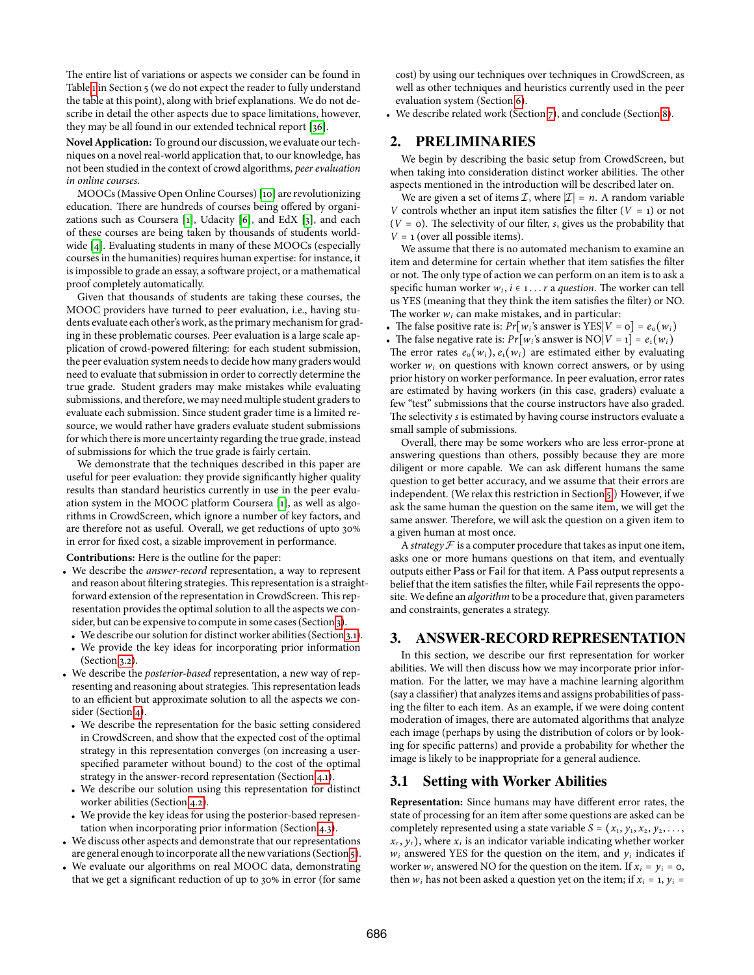The entire list of variations or aspects we consider can be found in Table [1](#page-8-0) in Section 5 (we do not expect the reader to fully understand the table at this point), along with brief explanations. We do not describe in detail the other aspects due to space limitations, however, they may be all found in our extended technical report [\[36\]](#page-11-14).

**Novel Application:** To ground our discussion, we evaluate our techniques on a novel real-world application that, to our knowledge, has not been studied in the context of crowd algorithms, peer evaluation in online courses.

MOOCs (Massive Open Online Courses) [\[10\]](#page-11-15) are revolutionizing education. There are hundreds of courses being offered by organizations such as Coursera [\[1\]](#page-11-16), Udacity [\[6\]](#page-11-17), and EdX [\[3\]](#page-11-18), and each of these courses are being taken by thousands of students worldwide [\[4\]](#page-11-19). Evaluating students in many of these MOOCs (especially courses in the humanities) requires human expertise: for instance, it is impossible to grade an essay, a software project, or a mathematical proof completely automatically.

Given that thousands of students are taking these courses, the MOOC providers have turned to peer evaluation, i.e., having students evaluate each other's work, as the primary mechanism for grading in these problematic courses. Peer evaluation is a large scale application of crowd-powered filtering: for each student submission, the peer evaluation system needs to decide how many graders would need to evaluate that submission in order to correctly determine the true grade. Student graders may make mistakes while evaluating submissions, and therefore, we may need multiple student graders to evaluate each submission. Since student grader time is a limited resource, we would rather have graders evaluate student submissions for which there is more uncertainty regarding the true grade, instead of submissions for which the true grade is fairly certain.

We demonstrate that the techniques described in this paper are useful for peer evaluation: they provide significantly higher quality results than standard heuristics currently in use in the peer evaluation system in the MOOC platform Coursera [\[1\]](#page-11-16), as well as algorithms in CrowdScreen, which ignore a number of key factors, and are therefore not as useful. Overall, we get reductions of upto 30% in error for fixed cost, a sizable improvement in performance.

**Contributions:** Here is the outline for the paper:

- We describe the *answer-record* representation, a way to represent and reason about filtering strategies. This representation is a straightforward extension of the representation in CrowdScreen. This representation provides the optimal solution to all the aspects we consider, but can be expensive to compute in some cases (Section [3\)](#page-1-0).
- We describe our solution for distinct worker abilities (Section [3.1\)](#page-1-1).
- We provide the key ideas for incorporating prior information (Section [3.2\)](#page-3-0).
- We describe the *posterior-based* representation, a new way of representing and reasoning about strategies. This representation leads to an efficient but approximate solution to all the aspects we consider (Section [4\)](#page-4-0).
- We describe the representation for the basic setting considered in CrowdScreen, and show that the expected cost of the optimal strategy in this representation converges (on increasing a userspecified parameter without bound) to the cost of the optimal strategy in the answer-record representation (Section [4.1\)](#page-4-1).
- We describe our solution using this representation for distinct worker abilities (Section [4.2\)](#page-5-0).
- We provide the key ideas for using the posterior-based representation when incorporating prior information (Section [4.3\)](#page-6-0).
- We discuss other aspects and demonstrate that our representations are general enough to incorporate all the new variations (Section [5\)](#page-6-1).
- We evaluate our algorithms on real MOOC data, demonstrating that we get a signicant reduction of up to 30% in error (for same

cost) by using our techniques over techniques in CrowdScreen, as well as other techniques and heuristics currently used in the peer evaluation system (Section [6\)](#page-7-0).

• We describe related work (Section [7\)](#page-10-0), and conclude (Section [8\)](#page-10-1).

# <span id="page-1-2"></span>2. PRELIMINARIES

We begin by describing the basic setup from CrowdScreen, but when taking into consideration distinct worker abilities. The other aspects mentioned in the introduction will be described later on.

We are given a set of items  $\mathcal{I}$ , where  $|\mathcal{I}| = n$ . A random variable V controls whether an input item satisfies the filter ( $V = 1$ ) or not ( $V = o$ ). The selectivity of our filter, s, gives us the probability that  $V = 1$  (over all possible items).

We assume that there is no automated mechanism to examine an item and determine for certain whether that item satisfies the filter or not. The only type of action we can perform on an item is to ask a specific human worker  $w_i$ ,  $i \in 1 \ldots r$  a *question*. The worker can tell us YES (meaning that they think the item satisfies the filter) or NO. The worker  $w_i$  can make mistakes, and in particular:

- The false positive rate is:  $Pr[w_i]$ 's answer is YES|V = 0] =  $e_0(w_i)$
- The false negative rate is:  $Pr[w_i]$ 's answer is NO $|V = 1] = e_1(w_i)$

The error rates  $e_0(w_i)$ ,  $e_1(w_i)$  are estimated either by evaluating worker  $w_i$  on questions with known correct answers, or by using prior history on worker performance. In peer evaluation, error rates are estimated by having workers (in this case, graders) evaluate a few "test" submissions that the course instructors have also graded. The selectivity  $s$  is estimated by having course instructors evaluate a small sample of submissions.

Overall, there may be some workers who are less error-prone at answering questions than others, possibly because they are more diligent or more capable. We can ask different humans the same question to get better accuracy, and we assume that their errors are independent. (We relax this restriction in Section [5.](#page-6-1)) However, if we ask the same human the question on the same item, we will get the same answer. Therefore, we will ask the question on a given item to a given human at most once.

A strategy  ${\mathcal F}$  is a computer procedure that takes as input one item, asks one or more humans questions on that item, and eventually outputs either Pass or Fail for that item. A Pass output represents a belief that the item satisfies the filter, while Fail represents the opposite. We define an *algorithm* to be a procedure that, given parameters and constraints, generates a strategy.

## <span id="page-1-0"></span>3. ANSWER-RECORD REPRESENTATION

In this section, we describe our first representation for worker abilities. We will then discuss how we may incorporate prior information. For the latter, we may have a machine learning algorithm (say a classifier) that analyzes items and assigns probabilities of passing the filter to each item. As an example, if we were doing content moderation of images, there are automated algorithms that analyze each image (perhaps by using the distribution of colors or by looking for specific patterns) and provide a probability for whether the image is likely to be inappropriate for a general audience.

# <span id="page-1-1"></span>3.1 Setting with Worker Abilities

**Representation:** Since humans may have different error rates, the state of processing for an item after some questions are asked can be completely represented using a state variable  $S = (x_1, y_1, x_2, y_2, \ldots,$  $x_r, y_r$ ), where  $x_i$  is an indicator variable indicating whether worker  $w_i$  answered YES for the question on the item, and  $y_i$  indicates if worker  $w_i$  answered NO for the question on the item. If  $x_i = y_i = o$ , then  $w_i$  has not been asked a question yet on the item; if  $x_i = 1$ ,  $y_i =$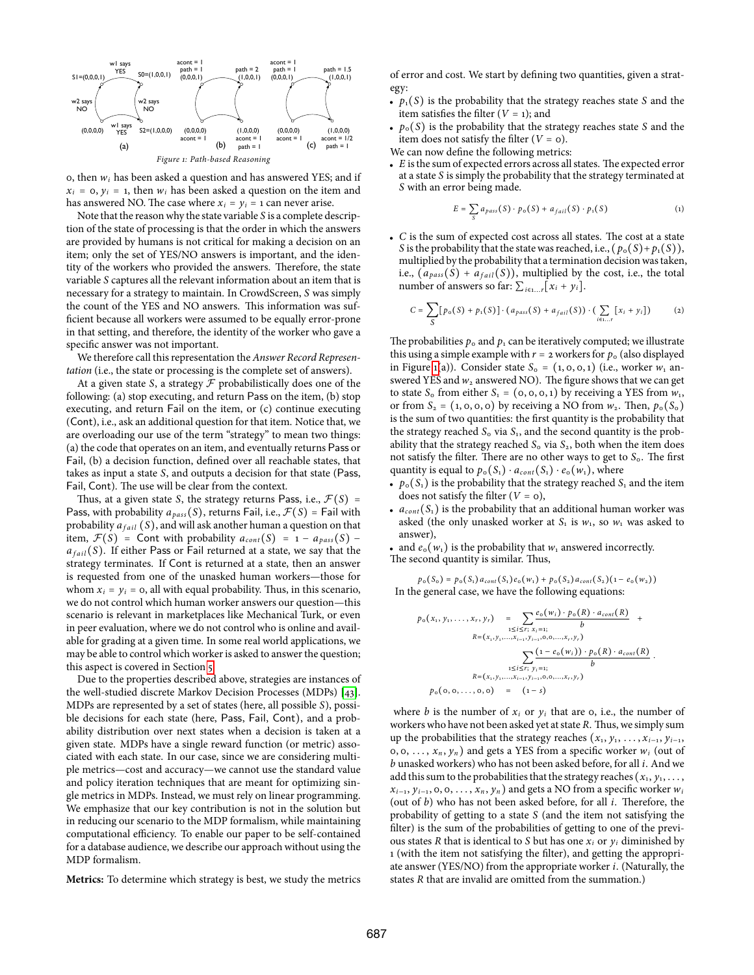<span id="page-2-0"></span>

o, then  $w_i$  has been asked a question and has answered YES; and if  $x_i = o$ ,  $y_i = 1$ , then  $w_i$  has been asked a question on the item and has answered NO. The case where  $x_i = y_i = 1$  can never arise.

Note that the reason why the state variable S is a complete description of the state of processing is that the order in which the answers are provided by humans is not critical for making a decision on an item; only the set of YES/NO answers is important, and the identity of the workers who provided the answers. Therefore, the state variable S captures all the relevant information about an item that is necessary for a strategy to maintain. In CrowdScreen, S was simply the count of the YES and NO answers. This information was sufficient because all workers were assumed to be equally error-prone in that setting, and therefore, the identity of the worker who gave a specific answer was not important.

We therefore call this representation the Answer Record Representation (i.e., the state or processing is the complete set of answers).

At a given state S, a strategy  $\mathcal F$  probabilistically does one of the following: (a) stop executing, and return Pass on the item, (b) stop executing, and return Fail on the item, or (c) continue executing (Cont), i.e., ask an additional question for that item. Notice that, we are overloading our use of the term "strategy" to mean two things: (a) the code that operates on an item, and eventually returns Pass or Fail, (b) a decision function, defined over all reachable states, that takes as input a state S, and outputs a decision for that state (Pass, Fail, Cont). The use will be clear from the context.

Thus, at a given state S, the strategy returns Pass, i.e.,  $\mathcal{F}(S)$  = Pass, with probability  $a_{pass}(S)$ , returns Fail, i.e.,  $\mathcal{F}(S)$  = Fail with probability  $a_{fail}$  (S), and will ask another human a question on that item,  $\mathcal{F}(S)$  = Cont with probability  $a_{cont}(S)$  = 1 –  $a_{pass}(S)$  –  $a_{fail}(S)$ . If either Pass or Fail returned at a state, we say that the strategy terminates. If Cont is returned at a state, then an answer is requested from one of the unasked human workers—those for whom  $x_i = y_i = 0$ , all with equal probability. Thus, in this scenario, we do not control which human worker answers our question—this scenario is relevant in marketplaces like Mechanical Turk, or even in peer evaluation, where we do not control who is online and available for grading at a given time. In some real world applications, we may be able to control which worker is asked to answer the question; this aspect is covered in Section [5.](#page-6-1)

Due to the properties described above, strategies are instances of the well-studied discrete Markov Decision Processes (MDPs) [\[43\]](#page-11-20). MDPs are represented by a set of states (here, all possible S), possible decisions for each state (here, Pass, Fail, Cont), and a probability distribution over next states when a decision is taken at a given state. MDPs have a single reward function (or metric) associated with each state. In our case, since we are considering multiple metrics—cost and accuracy—we cannot use the standard value and policy iteration techniques that are meant for optimizing single metrics in MDPs. Instead, we must rely on linear programming. We emphasize that our key contribution is not in the solution but in reducing our scenario to the MDP formalism, while maintaining computational efficiency. To enable our paper to be self-contained for a database audience, we describe our approach without using the MDP formalism.

**Metrics:** To determine which strategy is best, we study the metrics

of error and cost. We start by defining two quantities, given a strategy:

- $p_1(S)$  is the probability that the strategy reaches state S and the item satisfies the filter  $(V = 1)$ ; and
- $p_o(S)$  is the probability that the strategy reaches state S and the item does not satisfy the filter ( $V = o$ ).
- We can now define the following metrics:
- $\bullet$  E is the sum of expected errors across all states. The expected error at a state S is simply the probability that the strategy terminated at S with an error being made.

<span id="page-2-1"></span>
$$
E = \sum_{S} a_{pass}(S) \cdot p_o(S) + a_{fail}(S) \cdot p_1(S)
$$
 (1)

 $\bullet$  C is the sum of expected cost across all states. The cost at a state S is the probability that the state was reached, i.e.,  $(p_o(S)+p_1(S))$ , multiplied by the probability that a termination decision was taken, i.e.,  $(a_{pass}(S) + a_{fail}(S))$ , multiplied by the cost, i.e., the total number of answers so far:  $\sum_{i \in 1...r} [x_i + y_i]$ .

<span id="page-2-2"></span>
$$
C = \sum_{S} [p_o(S) + p_1(S)] \cdot (a_{pass}(S) + a_{fail}(S)) \cdot (\sum_{i \in 1...r} [x_i + y_i])
$$
 (2)

The probabilities  $p_0$  and  $p_1$  can be iteratively computed; we illustrate this using a simple example with  $r = 2$  workers for  $p_0$  (also displayed in Figure [1\(](#page-2-0)a)). Consider state  $S_0 = (1, 0, 0, 1)$  (i.e., worker  $w_1$  answered YES and  $w_2$  answered NO). The figure shows that we can get to state  $S_0$  from either  $S_1 = (0, 0, 0, 1)$  by receiving a YES from  $w_1$ , or from  $S_2 = (1, 0, 0, 0)$  by receiving a NO from  $w_2$ . Then,  $p_0(S_0)$ is the sum of two quantities: the first quantity is the probability that the strategy reached  $S_0$  via  $S_1$ , and the second quantity is the probability that the strategy reached  $S_0$  via  $S_2$ , both when the item does not satisfy the filter. There are no other ways to get to  $S_0$ . The first quantity is equal to  $p_0(S_1) \cdot a_{cont}(S_1) \cdot e_0(w_1)$ , where

- $p_0(S_1)$  is the probability that the strategy reached  $S_1$  and the item does not satisfy the filter  $(V = 0)$ ,
- $a_{cont}(S_1)$  is the probability that an additional human worker was asked (the only unasked worker at  $S_1$  is  $w_1$ , so  $w_1$  was asked to answer),

• and  $e_0(w_1)$  is the probability that  $w_1$  answered incorrectly. The second quantity is similar. Thus,

 $p_{o}(S_{o}) = p_{o}(S_{1})a_{cont}(S_{1})e_{o}(w_{1}) + p_{o}(S_{2})a_{cont}(S_{2})(1 - e_{o}(w_{2}))$ In the general case, we have the following equations:

$$
p_o(x_1, y_1, \ldots, x_r, y_r) = \sum_{1 \leq i \leq r; x_i = 1;} \frac{e_o(w_i) \cdot p_o(R) \cdot a_{cont}(R)}{b} +
$$
  

$$
R = (x_1, y_1, \ldots, x_{i-1}, y_{i-1}, 0, 0, \ldots, x_r, y_r)
$$
  

$$
\sum_{1 \leq i \leq r; y_i = 1;} \frac{(1 - e_o(w_i)) \cdot p_o(R) \cdot a_{cont}(R)}{b}.
$$
  

$$
R = (x_1, y_1, \ldots, x_{i-1}, y_{i-1}, 0, 0, \ldots, x_r, y_r)
$$
  

$$
p_o(o, o, \ldots, o, o) = (1 - s)
$$

where b is the number of  $x_i$  or  $y_i$  that are o, i.e., the number of workers who have not been asked yet at state  $R$ . Thus, we simply sum up the probabilities that the strategy reaches  $(x_1, y_1, \ldots, x_{i-1}, y_{i-1},$ 0, 0, ...,  $x_n$ ,  $y_n$ ) and gets a YES from a specific worker  $w_i$  (out of b unasked workers) who has not been asked before, for all i. And we add this sum to the probabilities that the strategy reaches  $(x_1, y_1, \ldots,$  $x_{i-1}, y_{i-1}, 0, 0, \ldots, x_n, y_n$  and gets a NO from a specific worker  $w_i$ (out of  $b$ ) who has not been asked before, for all  $i$ . Therefore, the probability of getting to a state S (and the item not satisfying the filter) is the sum of the probabilities of getting to one of the previous states R that is identical to S but has one  $x_i$  or  $y_i$  diminished by 1 (with the item not satisfying the filter), and getting the appropriate answer (YES/NO) from the appropriate worker i. (Naturally, the states R that are invalid are omitted from the summation.)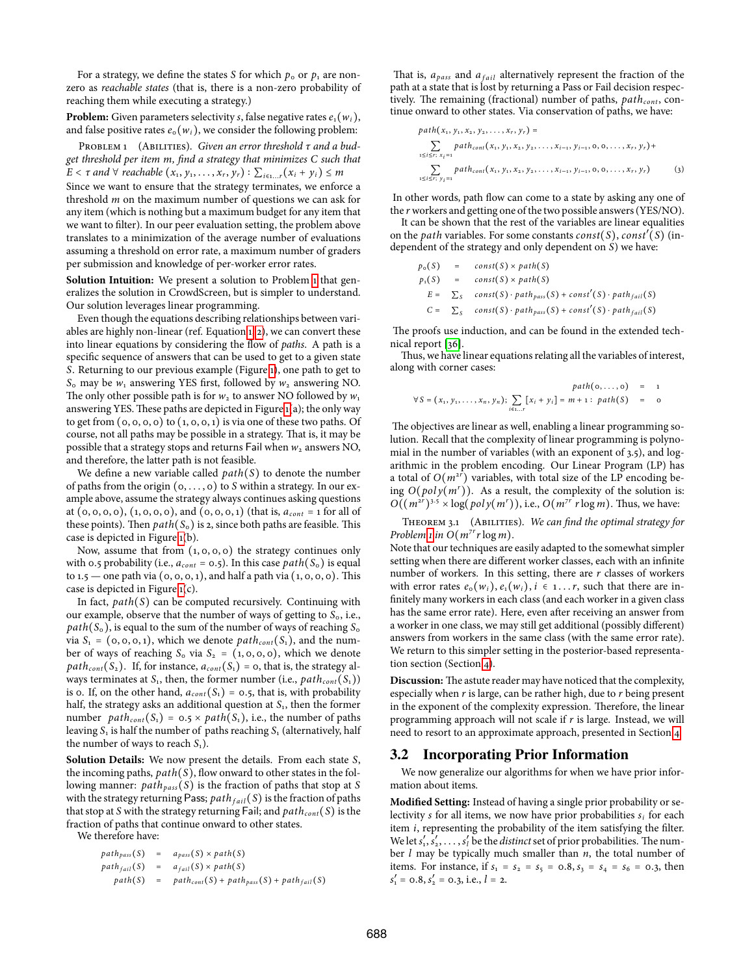For a strategy, we define the states S for which  $p_0$  or  $p_1$  are nonzero as reachable states (that is, there is a non-zero probability of reaching them while executing a strategy.)

**Problem:** Given parameters selectivity s, false negative rates  $e_1(w_i)$ , and false positive rates  $e_0(w_i)$ , we consider the following problem:

PROBLEM 1 (ABILITIES). Given an error threshold  $\tau$  and a budget threshold per item  $m$ , find a strategy that minimizes  $C$  such that  $E < \tau$  and  $\forall$  reachable  $(x_1, y_1, \ldots, x_r, y_r) : \sum_{i \in 1...r} (x_i + y_i) \leq m$ 

Since we want to ensure that the strategy terminates, we enforce a threshold  $m$  on the maximum number of questions we can ask for any item (which is nothing but a maximum budget for any item that we want to filter). In our peer evaluation setting, the problem above translates to a minimization of the average number of evaluations assuming a threshold on error rate, a maximum number of graders per submission and knowledge of per-worker error rates.

**Solution Intuition:** We present a solution to Problem [1](#page-3-1) that generalizes the solution in CrowdScreen, but is simpler to understand. Our solution leverages linear programming.

Even though the equations describing relationships between variables are highly non-linear (ref. Equation [1,](#page-2-1) [2\)](#page-2-2), we can convert these into linear equations by considering the flow of *paths*. A path is a specific sequence of answers that can be used to get to a given state S. Returning to our previous example (Figure [1\)](#page-2-0), one path to get to  $S_0$  may be  $w_1$  answering YES first, followed by  $w_2$  answering NO. The only other possible path is for  $w_2$  to answer NO followed by  $w_1$ answering YES. These paths are depicted in Figure  $1(a)$ ; the only way to get from  $(o, o, o, o)$  to  $(1, o, o, 1)$  is via one of these two paths. Of course, not all paths may be possible in a strategy. That is, it may be possible that a strategy stops and returns Fail when  $w_2$  answers NO, and therefore, the latter path is not feasible.

We define a new variable called  $path(S)$  to denote the number of paths from the origin  $(0, \ldots, 0)$  to S within a strategy. In our example above, assume the strategy always continues asking questions at  $(0, 0, 0, 0)$ ,  $(1, 0, 0, 0)$ , and  $(0, 0, 0, 1)$  (that is,  $a_{cont} = 1$  for all of these points). Then  $path(S_0)$  is 2, since both paths are feasible. This case is depicted in Figure [1\(](#page-2-0)b).

Now, assume that from (1, 0, 0, 0) the strategy continues only with 0.5 probability (i.e.,  $a_{cont} = 0.5$ ). In this case  $path(S_0)$  is equal to  $1.5$  — one path via  $(0, 0, 0, 1)$ , and half a path via  $(1, 0, 0, 0)$ . This case is depicted in Figure [1\(](#page-2-0)c).

In fact,  $path(S)$  can be computed recursively. Continuing with our example, observe that the number of ways of getting to  $S_0$ , i.e.,  $path(S<sub>o</sub>)$ , is equal to the sum of the number of ways of reaching  $S<sub>o</sub>$ via  $S_1 = (0, 0, 0, 1)$ , which we denote  $path_{cont}(S_1)$ , and the number of ways of reaching  $S_0$  via  $S_2 = (1, 0, 0, 0)$ , which we denote path<sub>cont</sub>(S<sub>2</sub>). If, for instance,  $a_{cont}(S_1) = o$ , that is, the strategy always terminates at  $S_1$ , then, the former number (i.e.,  $path_{cont}(S_1)$ ) is o. If, on the other hand,  $a_{cont}(S_1) = 0.5$ , that is, with probability half, the strategy asks an additional question at  $S<sub>1</sub>$ , then the former number  $path_{cont}(S_1) = 0.5 \times path(S_1)$ , i.e., the number of paths leaving  $S_1$  is half the number of paths reaching  $S_1$  (alternatively, half the number of ways to reach  $S_1$ ).

**Solution Details:** We now present the details. From each state S, the incoming paths,  $path(S)$ , flow onward to other states in the following manner:  $path_{pass}(S)$  is the fraction of paths that stop at S with the strategy returning Pass;  $path_{fail}(S)$  is the fraction of paths that stop at S with the strategy returning Fail; and  $path_{cont}(S)$  is the fraction of paths that continue onward to other states.

We therefore have:

$$
path_{pass}(S) = a_{pass}(S) \times path(S)
$$
\n
$$
path_{fail}(S) = a_{fail}(S) \times path(S)
$$
\n
$$
path(S) = path_{cont}(S) + path_{pass}(S) + path_{fail}(S)
$$

That is,  $a_{pass}$  and  $a_{fail}$  alternatively represent the fraction of the path at a state that is lost by returning a Pass or Fail decision respectively. The remaining (fractional) number of paths,  $path_{cont}$ , continue onward to other states. Via conservation of paths, we have:

<span id="page-3-2"></span><span id="page-3-1"></span>
$$
path(x_1, y_1, x_2, y_2, \dots, x_r, y_r) =
$$
\n
$$
\sum_{1 \leq i \leq r; x_i = 1} path_{cont}(x_1, y_1, x_2, y_2, \dots, x_{i-1}, y_{i-1}, 0, 0, \dots, x_r, y_r) +
$$
\n
$$
\sum_{1 \leq i \leq r; y_i = 1} path_{cont}(x_1, y_1, x_2, y_2, \dots, x_{i-1}, y_{i-1}, 0, 0, \dots, x_r, y_r)
$$
\n(3)

In other words, path flow can come to a state by asking any one of the r workers and getting one of the two possible answers (YES/NO).

It can be shown that the rest of the variables are linear equalities on the *path* variables. For some constants  $const(S)$ ,  $const'(S)$  (independent of the strategy and only dependent on S) we have:

$$
p_o(S) = const(S) \times path(S)
$$
  
\n
$$
p_1(S) = const(S) \times path(S)
$$
  
\n
$$
E = \sum_{S} const(S) \cdot path_{pass}(S) + const'(S) \cdot path_{fail}(S)
$$
  
\n
$$
C = \sum_{S} const(S) \cdot path_{pass}(S) + const'(S) \cdot path_{fail}(S)
$$

The proofs use induction, and can be found in the extended technical report [\[36\]](#page-11-14).

Thus, we have linear equations relating all the variables of interest, along with corner cases:

<span id="page-3-3"></span>
$$
path(o, ..., o) = 1
$$
  
\n
$$
\forall S = (x_1, y_1, ..., x_n, y_n); \sum_{i \in 1...} [x_i + y_i] = m + 1 : path(S) = o
$$

The objectives are linear as well, enabling a linear programming solution. Recall that the complexity of linear programming is polynomial in the number of variables (with an exponent of 3.5), and logarithmic in the problem encoding. Our Linear Program (LP) has a total of  $O(m^{2r})$  variables, with total size of the LP encoding being  $O(poly(m^r))$ . As a result, the complexity of the solution is:  $O((m^{2r})^{3.5} \times \log(\text{poly}(m^r)), \text{i.e., } O(m^{7r} r \log m)$ . Thus, we have:

THEOREM 3.1 (ABILITIES). We can find the optimal strategy for Problem [1](#page-3-1) in  $O(m^{7r}r \log m)$ .

Note that our techniques are easily adapted to the somewhat simpler setting when there are different worker classes, each with an infinite number of workers. In this setting, there are  $r$  classes of workers with error rates  $e_0(w_i)$ ,  $e_1(w_i)$ ,  $i \in 1...r$ , such that there are innitely many workers in each class (and each worker in a given class has the same error rate). Here, even after receiving an answer from a worker in one class, we may still get additional (possibly different) answers from workers in the same class (with the same error rate). We return to this simpler setting in the posterior-based representation section (Section [4\)](#page-4-0).

**Discussion:** The astute reader may have noticed that the complexity, especially when  $r$  is large, can be rather high, due to  $r$  being present in the exponent of the complexity expression. Therefore, the linear programming approach will not scale if r is large. Instead, we will need to resort to an approximate approach, presented in Section [4.](#page-4-0)

## <span id="page-3-0"></span>3.2 Incorporating Prior Information

We now generalize our algorithms for when we have prior information about items.

**Modied Setting:** Instead of having a single prior probability or selectivity s for all items, we now have prior probabilities  $s_i$  for each item  $i$ , representing the probability of the item satisfying the filter. We let  $s'_1, s'_2, \ldots, s'_l$  be the *distinct* set of prior probabilities. The number  $l$  may be typically much smaller than  $n$ , the total number of items. For instance, if  $s_1 = s_2 = s_5 = 0.8$ ,  $s_3 = s_4 = s_6 = 0.3$ , then  $s'_1 = 0.8, s'_2 = 0.3$ , i.e.,  $l = 2$ .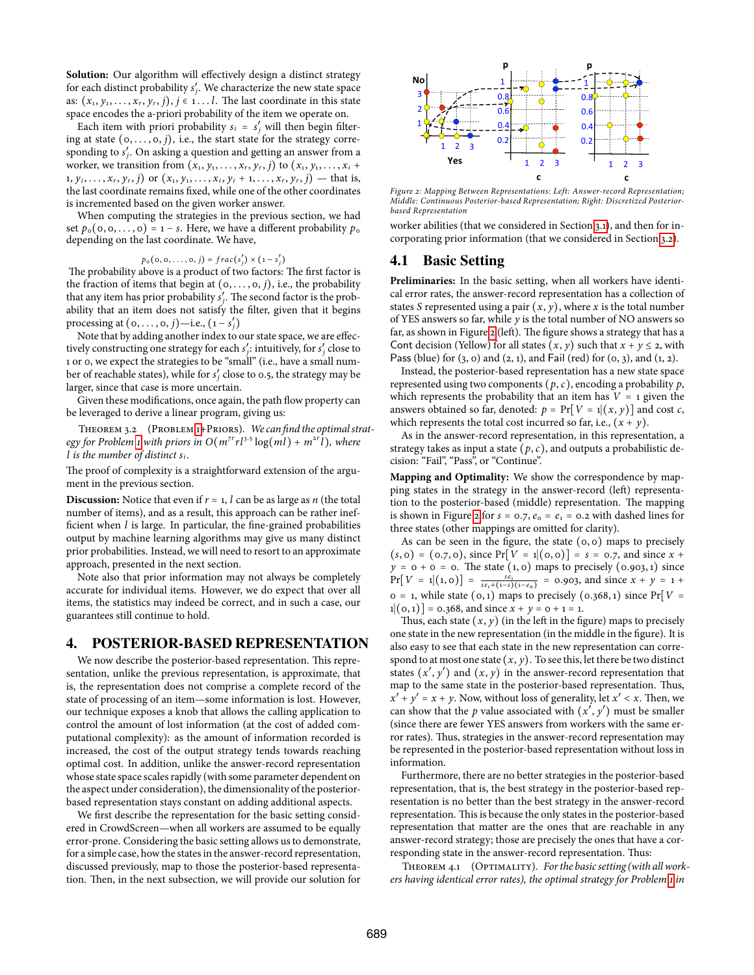Solution: Our algorithm will effectively design a distinct strategy for each distinct probability  $s'_i$ . We characterize the new state space as:  $(x_1, y_1, \ldots, x_r, y_r, j), j \in 1 \ldots l$ . The last coordinate in this state space encodes the a-priori probability of the item we operate on.

Each item with priori probability  $s_i = s'_i$  will then begin filtering at state  $(0, \ldots, 0, j)$ , i.e., the start state for the strategy corresponding to  $s'_{i}$ . On asking a question and getting an answer from a worker, we transition from  $(x_1, y_1, \ldots, x_r, y_r, j)$  to  $(x_1, y_1, \ldots, x_i +$ 1,  $y_i, \ldots, x_r, y_r, j$  or  $(x_1, y_1, \ldots, x_i, y_i + 1, \ldots, x_r, y_r, j)$  — that is, the last coordinate remains fixed, while one of the other coordinates is incremented based on the given worker answer.

When computing the strategies in the previous section, we had set  $p_0(0, 0, \ldots, 0) = 1 - s$ . Here, we have a different probability  $p_0$ depending on the last coordinate. We have,

 $p_o(o, o, \ldots, o, j) = frac(s'_j) \times (1 - s'_j)$ 

The probability above is a product of two factors: The first factor is the fraction of items that begin at  $(0, \ldots, 0, j)$ , i.e., the probability that any item has prior probability  $s'_{j}$ . The second factor is the probability that an item does not satisfy the filter, given that it begins processing at  $(o, ..., o, j)$ —i.e.,  $(1 - s'_j)$ 

Note that by adding another index to our state space, we are effectively constructing one strategy for each  $s'_{j}$ : intuitively, for  $s'_{j}$  close to 1 or 0, we expect the strategies to be "small" (i.e., have a small number of reachable states), while for  $s'_{j}$  close to 0.5, the strategy may be larger, since that case is more uncertain.

Given these modifications, once again, the path flow property can be leveraged to derive a linear program, giving us:

THEOREM 3.2 (PROBLEM [1+](#page-3-1)PRIORS). We can find the optimal strat-egy for Problem [1](#page-3-1) with priors in  $O(m^{7r}r^{13\cdot5}\log(ml) + m^{2r}\hat{l})$ , where l is the number of distinct  $s_i$ .

The proof of complexity is a straightforward extension of the argument in the previous section.

**Discussion:** Notice that even if  $r = 1$ , l can be as large as n (the total number of items), and as a result, this approach can be rather inef ficient when  $l$  is large. In particular, the fine-grained probabilities output by machine learning algorithms may give us many distinct prior probabilities. Instead, we will need to resort to an approximate approach, presented in the next section.

Note also that prior information may not always be completely accurate for individual items. However, we do expect that over all items, the statistics may indeed be correct, and in such a case, our guarantees still continue to hold.

# <span id="page-4-0"></span>4. POSTERIOR-BASED REPRESENTATION

We now describe the posterior-based representation. This representation, unlike the previous representation, is approximate, that is, the representation does not comprise a complete record of the state of processing of an item—some information is lost. However, our technique exposes a knob that allows the calling application to control the amount of lost information (at the cost of added computational complexity): as the amount of information recorded is increased, the cost of the output strategy tends towards reaching optimal cost. In addition, unlike the answer-record representation whose state space scales rapidly (with some parameter dependent on the aspect under consideration), the dimensionality of the posteriorbased representation stays constant on adding additional aspects.

We first describe the representation for the basic setting considered in CrowdScreen—when all workers are assumed to be equally error-prone. Considering the basic setting allows us to demonstrate, for a simple case, how the states in the answer-record representation, discussed previously, map to those the posterior-based representation. Then, in the next subsection, we will provide our solution for

<span id="page-4-2"></span>

Figure 2: Mapping Between Representations: Left: Answer-record Representation; Middle: Continuous Posterior-based Representation; Right: Discretized Posteriorbased Representation

worker abilities (that we considered in Section [3.1\)](#page-1-1), and then for incorporating prior information (that we considered in Section [3.2\)](#page-3-0).

## <span id="page-4-1"></span>4.1 Basic Setting

**Preliminaries:** In the basic setting, when all workers have identical error rates, the answer-record representation has a collection of states S represented using a pair  $(x, y)$ , where x is the total number of YES answers so far, while  $y$  is the total number of NO answers so far, as shown in Figure [2](#page-4-2) (left). The figure shows a strategy that has a Cont decision (Yellow) for all states  $(x, y)$  such that  $x + y \leq z$ , with Pass (blue) for  $(3, 0)$  and  $(2, 1)$ , and Fail (red) for  $(0, 3)$ , and  $(1, 2)$ .

Instead, the posterior-based representation has a new state space represented using two components  $(p, c)$ , encoding a probability  $p$ , which represents the probability that an item has  $V = 1$  given the answers obtained so far, denoted:  $p = Pr[V = 1 | (x, y)]$  and cost c, which represents the total cost incurred so far, i.e.,  $(x + y)$ .

As in the answer-record representation, in this representation, a strategy takes as input a state  $(p, c)$ , and outputs a probabilistic decision: "Fail", "Pass", or "Continue".

**Mapping and Optimality:** We show the correspondence by mapping states in the strategy in the answer-record (left) representation to the posterior-based (middle) representation. The mapping is shown in Figure [2](#page-4-2) for  $s = 0.7$ ,  $e_0 = e_1 = 0.2$  with dashed lines for three states (other mappings are omitted for clarity).

As can be seen in the figure, the state  $(o, o)$  maps to precisely  $(s, 0) = (0.7, 0),$  since Pr[V = 1|(0, 0)] = s = 0.7, and since x +  $y = 0 + 0 = 0$ . The state (1, 0) maps to precisely (0.903, 1) since  $Pr[V = 1 | (1, 0)] = \frac{se_1}{se_1 + (1-s)(1-e_0)} = 0.903$ , and since  $x + y = 1 +$  $o = 1$ , while state  $(o, 1)$  maps to precisely  $(o.368, 1)$  since Pr[V =  $1|(0, 1)| = 0.368$ , and since  $x + y = 0 + 1 = 1$ .

Thus, each state  $(x, y)$  (in the left in the figure) maps to precisely one state in the new representation (in the middle in the figure). It is also easy to see that each state in the new representation can correspond to at most one state  $(x, y)$ . To see this, let there be two distinct states  $(x', y')$  and  $(x, y)$  in the answer-record representation that map to the same state in the posterior-based representation. Thus,  $x' + y' = x + y$ . Now, without loss of generality, let  $x' < x$ . Then, we can show that the p value associated with  $(x', y')$  must be smaller (since there are fewer YES answers from workers with the same error rates). Thus, strategies in the answer-record representation may be represented in the posterior-based representation without loss in information.

Furthermore, there are no better strategies in the posterior-based representation, that is, the best strategy in the posterior-based representation is no better than the best strategy in the answer-record representation. This is because the only states in the posterior-based representation that matter are the ones that are reachable in any answer-record strategy; those are precisely the ones that have a corresponding state in the answer-record representation. Thus:

<span id="page-4-3"></span>THEOREM 4.1 (OPTIMALITY). For the basic setting (with all workers having identical error rates), the optimal strategy for Problem [1](#page-3-1) in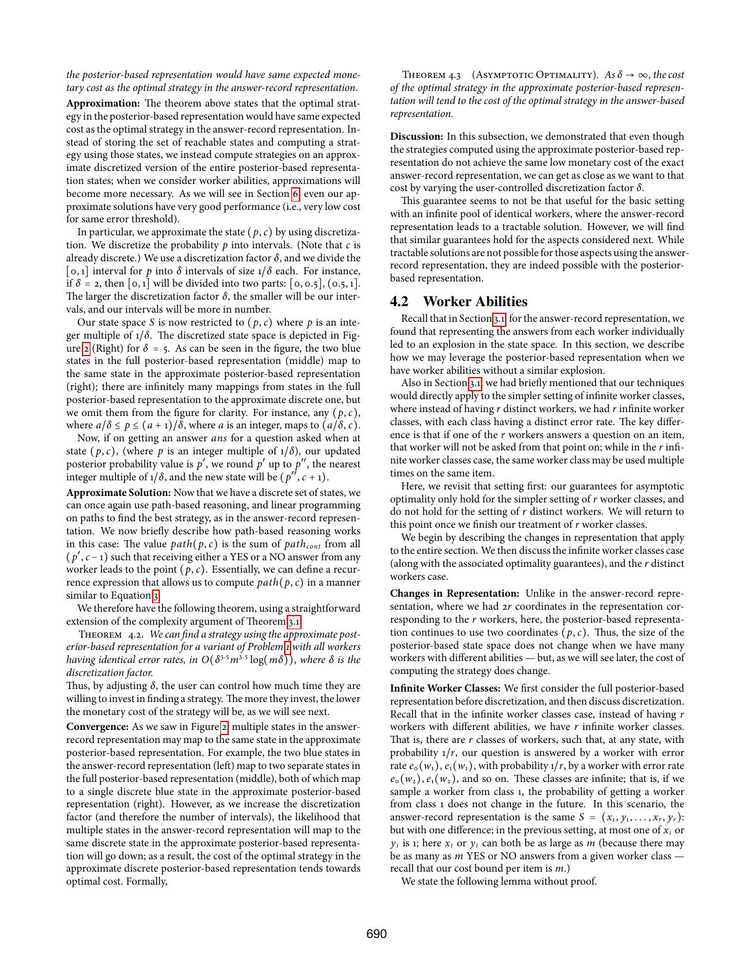the posterior-based representation would have same expected monetary cost as the optimal strategy in the answer-record representation.

Approximation: The theorem above states that the optimal strategy in the posterior-based representation would have same expected cost as the optimal strategy in the answer-record representation. Instead of storing the set of reachable states and computing a strategy using those states, we instead compute strategies on an approximate discretized version of the entire posterior-based representation states; when we consider worker abilities, approximations will become more necessary. As we will see in Section [6,](#page-7-0) even our approximate solutions have very good performance (i.e., very low cost for same error threshold).

In particular, we approximate the state  $(p, c)$  by using discretization. We discretize the probability  $p$  into intervals. (Note that  $c$  is already discrete.) We use a discretization factor  $\delta$ , and we divide the [0, 1] interval for p into  $\delta$  intervals of size 1/ $\delta$  each. For instance, if  $\delta$  = 2, then [0, 1] will be divided into two parts: [0, 0.5], (0.5, 1]. The larger the discretization factor  $\delta$ , the smaller will be our intervals, and our intervals will be more in number.

Our state space S is now restricted to  $(p, c)$  where p is an integer multiple of  $1/\delta$ . The discretized state space is depicted in Fig-ure [2](#page-4-2) (Right) for  $\delta = 5$ . As can be seen in the figure, the two blue states in the full posterior-based representation (middle) map to the same state in the approximate posterior-based representation (right); there are infinitely many mappings from states in the full posterior-based representation to the approximate discrete one, but we omit them from the figure for clarity. For instance, any  $(p, c)$ , where  $a/\delta \le p \le (a+1)/\delta$ , where a is an integer, maps to  $(a/\delta, c)$ .

Now, if on getting an answer ans for a question asked when at state  $(p, c)$ , (where p is an integer multiple of  $1/\delta$ ), our updated posterior probability value is  $p'$ , we round  $p'$  up to  $p''$ , the nearest integer multiple of  $1/\delta$ , and the new state will be  $(p'', c + 1)$ .

**Approximate Solution:** Now that we have a discrete set of states, we can once again use path-based reasoning, and linear programming on paths to find the best strategy, as in the answer-record representation. We now briefly describe how path-based reasoning works in this case: The value  $path(p, c)$  is the sum of  $path_{cont}$  from all  $(p', c - 1)$  such that receiving either a YES or a NO answer from any worker leads to the point  $(p, c)$ . Essentially, we can define a recurrence expression that allows us to compute  $path(p, c)$  in a manner similar to Equation [3.](#page-3-2)

We therefore have the following theorem, using a straightforward extension of the complexity argument of Theorem [3.1:](#page-3-3)

THEOREM 4.2. We can find a strategy using the approximate posterior-based representation for a variant of Problem [1](#page-3-1) with all workers having identical error rates, in  $O(\delta^{3.5}m^{3.5}\log(m\delta))$ , where  $\delta$  is the discretization factor.

Thus, by adjusting  $\delta$ , the user can control how much time they are willing to invest in finding a strategy. The more they invest, the lower the monetary cost of the strategy will be, as we will see next.

**Convergence:** As we saw in Figure [2,](#page-4-2) multiple states in the answerrecord representation may map to the same state in the approximate posterior-based representation. For example, the two blue states in the answer-record representation (left) map to two separate states in the full posterior-based representation (middle), both of which map to a single discrete blue state in the approximate posterior-based representation (right). However, as we increase the discretization factor (and therefore the number of intervals), the likelihood that multiple states in the answer-record representation will map to the same discrete state in the approximate posterior-based representation will go down; as a result, the cost of the optimal strategy in the approximate discrete posterior-based representation tends towards optimal cost. Formally,

THEOREM 4.3 (ASYMPTOTIC OPTIMALITY). As  $\delta \to \infty$ , the cost of the optimal strategy in the approximate posterior-based representation will tend to the cost of the optimal strategy in the answer-based representation.

**Discussion:** In this subsection, we demonstrated that even though the strategies computed using the approximate posterior-based representation do not achieve the same low monetary cost of the exact answer-record representation, we can get as close as we want to that cost by varying the user-controlled discretization factor  $\delta$ .

This guarantee seems to not be that useful for the basic setting with an infinite pool of identical workers, where the answer-record representation leads to a tractable solution. However, we will find that similar guarantees hold for the aspects considered next. While tractable solutions are not possible for those aspects using the answerrecord representation, they are indeed possible with the posteriorbased representation.

## <span id="page-5-0"></span>4.2 Worker Abilities

Recall that in Section [3.1,](#page-1-1) for the answer-record representation, we found that representing the answers from each worker individually led to an explosion in the state space. In this section, we describe how we may leverage the posterior-based representation when we have worker abilities without a similar explosion.

Also in Section [3.1,](#page-1-1) we had briefly mentioned that our techniques would directly apply to the simpler setting of infinite worker classes, where instead of having  $r$  distinct workers, we had  $r$  infinite worker classes, with each class having a distinct error rate. The key difference is that if one of the r workers answers a question on an item, that worker will not be asked from that point on; while in the  $r$  infinite worker classes case, the same worker class may be used multiple times on the same item.

Here, we revisit that setting first: our guarantees for asymptotic optimality only hold for the simpler setting of r worker classes, and do not hold for the setting of  $r$  distinct workers. We will return to this point once we finish our treatment of  $r$  worker classes.

We begin by describing the changes in representation that apply to the entire section. We then discuss the infinite worker classes case (along with the associated optimality guarantees), and the r distinct workers case.

**Changes in Representation:** Unlike in the answer-record representation, where we had 2r coordinates in the representation corresponding to the r workers, here, the posterior-based representation continues to use two coordinates  $(p, c)$ . Thus, the size of the posterior-based state space does not change when we have many workers with different abilities  $-$  but, as we will see later, the cost of computing the strategy does change.

**Infinite Worker Classes:** We first consider the full posterior-based representation before discretization, and then discuss discretization. Recall that in the infinite worker classes case, instead of having  $r$ workers with different abilities, we have  $r$  infinite worker classes. That is, there are  $r$  classes of workers, such that, at any state, with probability  $1/r$ , our question is answered by a worker with error rate  $e_0(w_1)$ ,  $e_1(w_1)$ , with probability  $1/r$ , by a worker with error rate  $e_0(w_2)$ ,  $e_1(w_2)$ , and so on. These classes are infinite; that is, if we sample a worker from class 1, the probability of getting a worker from class 1 does not change in the future. In this scenario, the answer-record representation is the same  $S = (x_1, y_1, \ldots, x_r, y_r)$ : but with one difference; in the previous setting, at most one of  $x_i$  or  $y_i$  is 1; here  $x_i$  or  $y_i$  can both be as large as m (because there may be as many as  $m$  YES or NO answers from a given worker class  $$ recall that our cost bound per item is m.)

We state the following lemma without proof.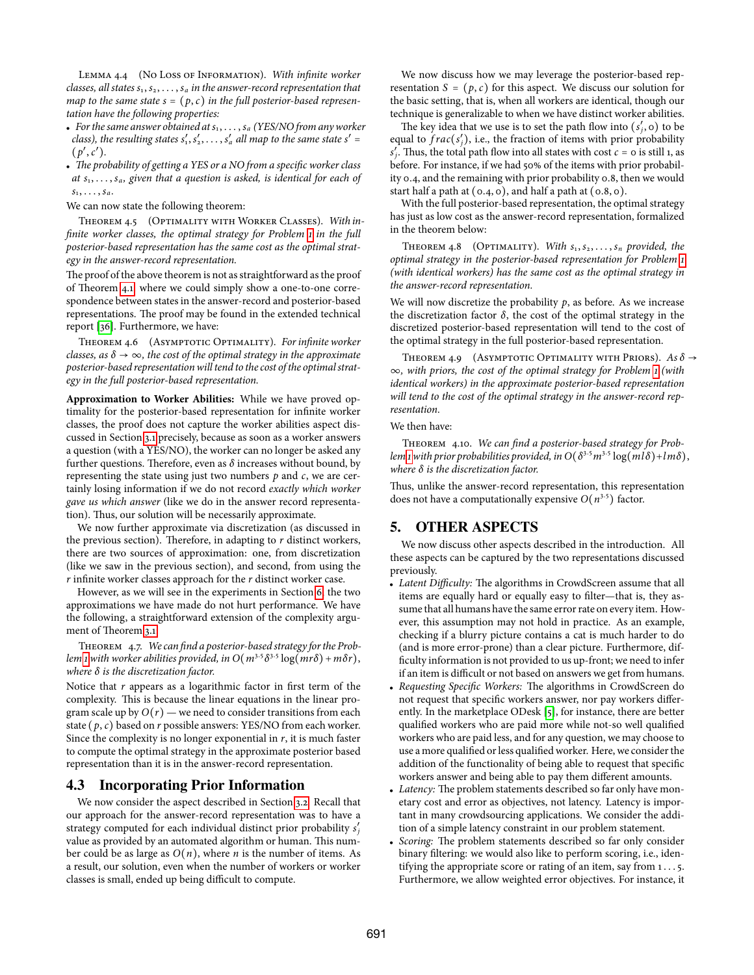LEMMA 4.4 (NO LOSS OF INFORMATION). With infinite worker classes, all states  $s_1, s_2, \ldots, s_a$  in the answer-record representation that map to the same state  $s = (p, c)$  in the full posterior-based representation have the following properties:

• For the same answer obtained at  $s_1, \ldots, s_a$  (YES/NO from any worker class), the resulting states  $s_1', s_2', \ldots, s_a'$  all map to the same state  $s' =$  $(p', c').$ 

 $\bullet$  The probability of getting a YES or a NO from a specific worker class at  $s_1, \ldots, s_a$ , given that a question is asked, is identical for each of  $s_1, \ldots, s_a$ .

We can now state the following theorem:

THEOREM 4.5 (OPTIMALITY WITH WORKER CLASSES). With in-finite worker classes, the optimal strategy for Problem [1](#page-3-1) in the full posterior-based representation has the same cost as the optimal strategy in the answer-record representation.

The proof of the above theorem is not as straightforward as the proof of Theorem [4.1,](#page-4-3) where we could simply show a one-to-one correspondence between states in the answer-record and posterior-based representations. The proof may be found in the extended technical report [\[36\]](#page-11-14). Furthermore, we have:

THEOREM 4.6 (ASYMPTOTIC OPTIMALITY). For infinite worker classes, as  $\delta \rightarrow \infty$ , the cost of the optimal strategy in the approximate posterior-based representation will tend to the cost of the optimal strategy in the full posterior-based representation.

**Approximation to Worker Abilities:** While we have proved optimality for the posterior-based representation for infinite worker classes, the proof does not capture the worker abilities aspect discussed in Section [3.1](#page-1-1) precisely, because as soon as a worker answers a question (with a YES/NO), the worker can no longer be asked any further questions. Therefore, even as  $\delta$  increases without bound, by representing the state using just two numbers  $p$  and  $c$ , we are certainly losing information if we do not record exactly which worker gave us which answer (like we do in the answer record representation). Thus, our solution will be necessarily approximate.

We now further approximate via discretization (as discussed in the previous section). Therefore, in adapting to  $r$  distinct workers, there are two sources of approximation: one, from discretization (like we saw in the previous section), and second, from using the  $r$  infinite worker classes approach for the  $r$  distinct worker case.

However, as we will see in the experiments in Section [6,](#page-7-0) the two approximations we have made do not hurt performance. We have the following, a straightforward extension of the complexity argu-ment of Theorem [3.1:](#page-3-3)

THEOREM 4.7. We can find a posterior-based strategy for the Prob-lem [1](#page-3-1) with worker abilities provided, in  $O(m^{3.5}\delta^{3.5}\log(mr\delta) + m\delta r)$ , where  $\delta$  is the discretization factor.

Notice that  $r$  appears as a logarithmic factor in first term of the complexity. This is because the linear equations in the linear program scale up by  $O(r)$  — we need to consider transitions from each state ( $p, c$ ) based on  $r$  possible answers: YES/NO from each worker. Since the complexity is no longer exponential in  $r$ , it is much faster to compute the optimal strategy in the approximate posterior based representation than it is in the answer-record representation.

# <span id="page-6-0"></span>4.3 Incorporating Prior Information

We now consider the aspect described in Section [3.2.](#page-3-0) Recall that our approach for the answer-record representation was to have a strategy computed for each individual distinct prior probability  $s'_{j}$ value as provided by an automated algorithm or human. This number could be as large as  $O(n)$ , where *n* is the number of items. As a result, our solution, even when the number of workers or worker classes is small, ended up being difficult to compute.

We now discuss how we may leverage the posterior-based representation  $S = (p, c)$  for this aspect. We discuss our solution for the basic setting, that is, when all workers are identical, though our technique is generalizable to when we have distinct worker abilities.

The key idea that we use is to set the path flow into  $(s'_i, o)$  to be equal to  $frac(s_i')$ , i.e., the fraction of items with prior probability  $s'_{i}$ . Thus, the total path flow into all states with cost  $c = 0$  is still 1, as before. For instance, if we had 50% of the items with prior probability 0.4, and the remaining with prior probability 0.8, then we would start half a path at  $(0.4, 0)$ , and half a path at  $(0.8, 0)$ .

With the full posterior-based representation, the optimal strategy has just as low cost as the answer-record representation, formalized in the theorem below:

THEOREM 4.8 (OPTIMALITY). With  $s_1, s_2, \ldots, s_n$  provided, the optimal strategy in the posterior-based representation for Problem [1](#page-3-1) (with identical workers) has the same cost as the optimal strategy in the answer-record representation.

We will now discretize the probability  $p$ , as before. As we increase the discretization factor  $\delta$ , the cost of the optimal strategy in the discretized posterior-based representation will tend to the cost of the optimal strategy in the full posterior-based representation.

THEOREM 4.9 (ASYMPTOTIC OPTIMALITY WITH PRIORS). As  $\delta \rightarrow$ ∞, with priors, the cost of the optimal strategy for Problem [1](#page-3-1) (with identical workers) in the approximate posterior-based representation will tend to the cost of the optimal strategy in the answer-record representation.

We then have:

THEOREM 4.10. We can find a posterior-based strategy for Prob-lem [1](#page-3-1) with prior probabilities provided, in  $O(\delta^{3.5}m^{3.5}\log(ml\delta) + lm\delta)$ , where  $\delta$  is the discretization factor.

Thus, unlike the answer-record representation, this representation does not have a computationally expensive  $O(n^{3.5})$  factor.

# <span id="page-6-1"></span>5. OTHER ASPECTS

We now discuss other aspects described in the introduction. All these aspects can be captured by the two representations discussed previously.

- Latent Difficulty: The algorithms in CrowdScreen assume that all items are equally hard or equally easy to filter—that is, they assume that all humans have the same error rate on every item. However, this assumption may not hold in practice. As an example, checking if a blurry picture contains a cat is much harder to do (and is more error-prone) than a clear picture. Furthermore, dif ficulty information is not provided to us up-front; we need to infer if an item is difficult or not based on answers we get from humans.
- Requesting Specific Workers: The algorithms in CrowdScreen do not request that specific workers answer, nor pay workers differently. In the marketplace ODesk [\[5\]](#page-11-21), for instance, there are better qualified workers who are paid more while not-so well qualified workers who are paid less, and for any question, we may choose to use a more qualified or less qualified worker. Here, we consider the addition of the functionality of being able to request that specific workers answer and being able to pay them different amounts.
- Latency: The problem statements described so far only have monetary cost and error as objectives, not latency. Latency is important in many crowdsourcing applications. We consider the addition of a simple latency constraint in our problem statement.
- Scoring: The problem statements described so far only consider binary filtering: we would also like to perform scoring, i.e., identifying the appropriate score or rating of an item, say from 1...5. Furthermore, we allow weighted error objectives. For instance, it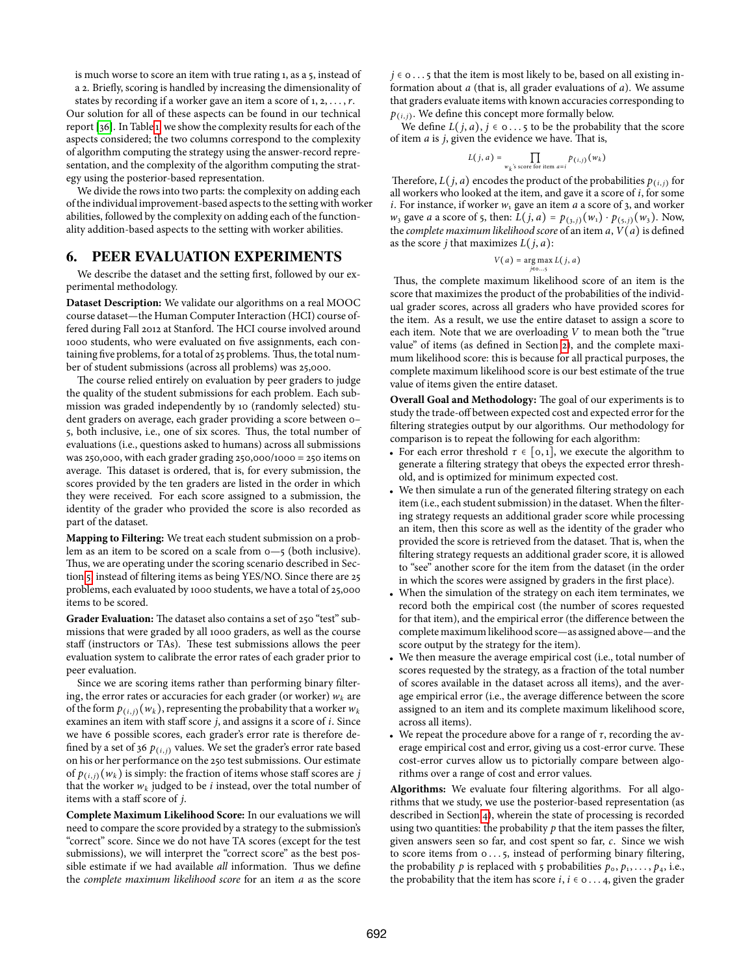is much worse to score an item with true rating 1, as a 5, instead of a 2. Briefly, scoring is handled by increasing the dimensionality of

states by recording if a worker gave an item a score of  $1, 2, \ldots, r$ . Our solution for all of these aspects can be found in our technical report [\[36\]](#page-11-14). In Table [1,](#page-8-0) we show the complexity results for each of the aspects considered; the two columns correspond to the complexity of algorithm computing the strategy using the answer-record representation, and the complexity of the algorithm computing the strategy using the posterior-based representation.

We divide the rows into two parts: the complexity on adding each of the individual improvement-based aspects to the setting with worker abilities, followed by the complexity on adding each of the functionality addition-based aspects to the setting with worker abilities.

# <span id="page-7-0"></span>6. PEER EVALUATION EXPERIMENTS

We describe the dataset and the setting first, followed by our experimental methodology.

**Dataset Description:** We validate our algorithms on a real MOOC course dataset—the Human Computer Interaction (HCI) course offered during Fall 2012 at Stanford. The HCI course involved around 1000 students, who were evaluated on five assignments, each containing five problems, for a total of  $25$  problems. Thus, the total number of student submissions (across all problems) was 25,000.

The course relied entirely on evaluation by peer graders to judge the quality of the student submissions for each problem. Each submission was graded independently by 10 (randomly selected) student graders on average, each grader providing a score between 0– 5, both inclusive, i.e., one of six scores. Thus, the total number of evaluations (i.e., questions asked to humans) across all submissions was 250,000, with each grader grading 250,000/1000 = 250 items on average. This dataset is ordered, that is, for every submission, the scores provided by the ten graders are listed in the order in which they were received. For each score assigned to a submission, the identity of the grader who provided the score is also recorded as part of the dataset.

**Mapping to Filtering:** We treat each student submission on a problem as an item to be scored on a scale from 0—5 (both inclusive). Thus, we are operating under the scoring scenario described in Sec-tion [5,](#page-6-1) instead of filtering items as being YES/NO. Since there are 25 problems, each evaluated by 1000 students, we have a total of 25,000 items to be scored.

**Grader Evaluation:** The dataset also contains a set of 250 "test" submissions that were graded by all 1000 graders, as well as the course staff (instructors or TAs). These test submissions allows the peer evaluation system to calibrate the error rates of each grader prior to peer evaluation.

Since we are scoring items rather than performing binary filtering, the error rates or accuracies for each grader (or worker)  $w_k$  are of the form  $p_{(i,j)}(w_k)$ , representing the probability that a worker  $w_k$ examines an item with staff score  $j$ , and assigns it a score of  $i$ . Since we have 6 possible scores, each grader's error rate is therefore de fined by a set of 36  $p_{(i,j)}$  values. We set the grader's error rate based on his or her performance on the 250 test submissions. Our estimate of  $p_{(i,j)}(w_k)$  is simply: the fraction of items whose staff scores are j that the worker  $w_k$  judged to be *i* instead, over the total number of items with a staff score of  $j$ .

**Complete Maximum Likelihood Score:** In our evaluations we will need to compare the score provided by a strategy to the submission's "correct" score. Since we do not have TA scores (except for the test submissions), we will interpret the "correct score" as the best possible estimate if we had available all information. Thus we define the complete maximum likelihood score for an item a as the score

 $j \in \mathfrak{0} \dots$  5 that the item is most likely to be, based on all existing information about  $a$  (that is, all grader evaluations of  $a$ ). We assume that graders evaluate items with known accuracies corresponding to  $p_{(i,j)}$ . We define this concept more formally below.

We define  $L(j, a), j \in \mathfrak{0} \dots$  5 to be the probability that the score of item  $a$  is  $j$ , given the evidence we have. That is,

$$
L(j, a) = \prod_{w_k \text{ is score for item } a = i} p_{(i,j)}(w_k)
$$

Therefore,  $L(j, a)$  encodes the product of the probabilities  $p_{(i, j)}$  for all workers who looked at the item, and gave it a score of  $i$ , for some i. For instance, if worker  $w_1$  gave an item  $a$  a score of 3, and worker  $w_3$  gave *a* a score of 5, then:  $L(j, a) = p_{(3, j)}(w_1) \cdot p_{(5, j)}(w_3)$ . Now, the complete maximum likelihood score of an item  $a, V(a)$  is defined as the score *j* that maximizes  $L(j, a)$ :

$$
V(a) = \underset{j \in \text{o...}5}{\arg \max} L(j, a)
$$

Thus, the complete maximum likelihood score of an item is the score that maximizes the product of the probabilities of the individual grader scores, across all graders who have provided scores for the item. As a result, we use the entire dataset to assign a score to each item. Note that we are overloading V to mean both the "true value" of items (as defined in Section [2\)](#page-1-2), and the complete maximum likelihood score: this is because for all practical purposes, the complete maximum likelihood score is our best estimate of the true value of items given the entire dataset.

**Overall Goal and Methodology:** The goal of our experiments is to study the trade-off between expected cost and expected error for the filtering strategies output by our algorithms. Our methodology for comparison is to repeat the following for each algorithm:

- For each error threshold  $\tau \in [0, 1]$ , we execute the algorithm to generate a filtering strategy that obeys the expected error threshold, and is optimized for minimum expected cost.
- We then simulate a run of the generated filtering strategy on each item (i.e., each student submission) in the dataset. When the filtering strategy requests an additional grader score while processing an item, then this score as well as the identity of the grader who provided the score is retrieved from the dataset. That is, when the filtering strategy requests an additional grader score, it is allowed to "see" another score for the item from the dataset (in the order in which the scores were assigned by graders in the first place).
- When the simulation of the strategy on each item terminates, we record both the empirical cost (the number of scores requested for that item), and the empirical error (the difference between the complete maximum likelihood score—as assigned above—and the score output by the strategy for the item).
- We then measure the average empirical cost (i.e., total number of scores requested by the strategy, as a fraction of the total number of scores available in the dataset across all items), and the average empirical error (i.e., the average difference between the score assigned to an item and its complete maximum likelihood score, across all items).
- We repeat the procedure above for a range of  $\tau$ , recording the average empirical cost and error, giving us a cost-error curve. These cost-error curves allow us to pictorially compare between algorithms over a range of cost and error values.

Algorithms: We evaluate four filtering algorithms. For all algorithms that we study, we use the posterior-based representation (as described in Section [4\)](#page-4-0), wherein the state of processing is recorded using two quantities: the probability  $p$  that the item passes the filter, given answers seen so far, and cost spent so far, c. Since we wish to score items from  $0 \ldots$  5, instead of performing binary filtering, the probability p is replaced with 5 probabilities  $p_0, p_1, \ldots, p_4$ , i.e., the probability that the item has score  $i, i \in \text{o} \dots \text{4}$ , given the grader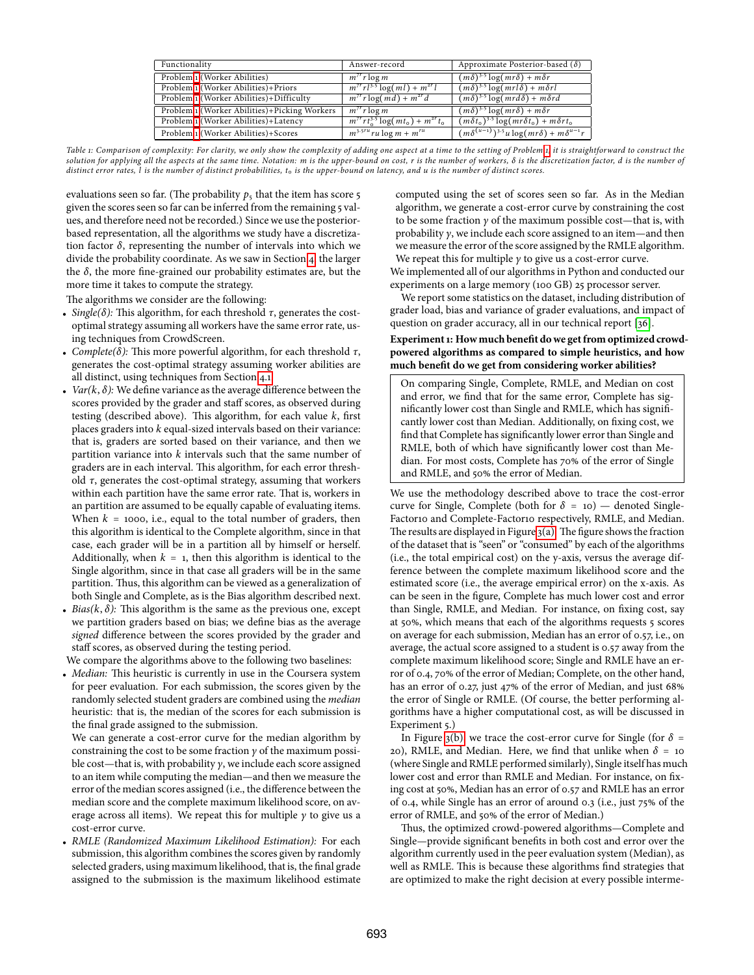<span id="page-8-0"></span>

| Functionality                                | Answer-record                                     | Approximate Posterior-based $(\delta)$                                    |
|----------------------------------------------|---------------------------------------------------|---------------------------------------------------------------------------|
| Problem 1 (Worker Abilities)                 | $m^{7r}$ r log m                                  | $(m\delta)^{3.5} \log(mr\delta) + m\delta r$                              |
| Problem 1 (Worker Abilities)+Priors          | $m^{7r} r l^{3.5} \log(ml) + m^{2r} l$            | $(m\delta)^{3.5} \log(mrl\delta) + m\delta rl$                            |
| Problem 1 (Worker Abilities)+Difficulty      | $\frac{m^{7r}r\log(md)+m^{2r}d}{m^{7r}r\log(md)}$ | $(m\delta)^{3.5} \log(mrd\delta) + m\delta rd$                            |
| Problem 1 (Worker Abilities)+Picking Workers | $m^{7r}r\log m$                                   | $(m\delta)^{3.5} \log(mr\delta) + m\delta r$                              |
| Problem 1 (Worker Abilities)+Latency         | $m^{7}rt_0^{3.5}\log(mt_0) + m^{2}t_0$            | $(m\delta t_{o})^{3.5} \log(mr\delta t_{o}) + m\delta rt_{o}$             |
| Problem 1 (Worker Abilities)+Scores          | $m^{3.5ru}$ ru $\log m + m^{ru}$                  | $\left(m\delta^{(u-1)}\right)^{3\cdot 5}u\log(mr\delta) + m\delta^{u-1}r$ |

Table 1: Comparison of complexity: For clarity, we only show the complexity of adding one aspect at a time to the setting of Problem [1;](#page-3-1) it is straightforward to construct the solution for applying all the aspects at the same time. Notation: m is the upper-bound on cost, r is the number of workers, δ is the discretization factor, d is the number of distinct error rates, l is the number of distinct probabilities, to is the upper-bound on latency, and u is the number of distinct scores.

evaluations seen so far. (The probability  $p_5$  that the item has score 5 given the scores seen so far can be inferred from the remaining 5 values, and therefore need not be recorded.) Since we use the posteriorbased representation, all the algorithms we study have a discretization factor  $\delta$ , representing the number of intervals into which we divide the probability coordinate. As we saw in Section [4,](#page-4-0) the larger the  $\delta$ , the more fine-grained our probability estimates are, but the more time it takes to compute the strategy.

The algorithms we consider are the following:

- Single( $\delta$ ): This algorithm, for each threshold  $\tau$ , generates the costoptimal strategy assuming all workers have the same error rate, using techniques from CrowdScreen.
- Complete(δ): This more powerful algorithm, for each threshold  $τ$ , generates the cost-optimal strategy assuming worker abilities are all distinct, using techniques from Section [4.1.](#page-4-1)
- Var( $k, \delta$ ): We define variance as the average difference between the scores provided by the grader and staff scores, as observed during testing (described above). This algorithm, for each value  $k$ , first places graders into k equal-sized intervals based on their variance: that is, graders are sorted based on their variance, and then we partition variance into  $k$  intervals such that the same number of graders are in each interval. This algorithm, for each error threshold  $\tau$ , generates the cost-optimal strategy, assuming that workers within each partition have the same error rate. That is, workers in an partition are assumed to be equally capable of evaluating items. When  $k = 1000$ , i.e., equal to the total number of graders, then this algorithm is identical to the Complete algorithm, since in that case, each grader will be in a partition all by himself or herself. Additionally, when  $k = 1$ , then this algorithm is identical to the Single algorithm, since in that case all graders will be in the same partition. Thus, this algorithm can be viewed as a generalization of both Single and Complete, as is the Bias algorithm described next.
- *Bias(k,*  $\delta$ *)*: This algorithm is the same as the previous one, except we partition graders based on bias; we define bias as the average signed difference between the scores provided by the grader and staff scores, as observed during the testing period.

We compare the algorithms above to the following two baselines:

• Median: This heuristic is currently in use in the Coursera system for peer evaluation. For each submission, the scores given by the randomly selected student graders are combined using the median heuristic: that is, the median of the scores for each submission is the final grade assigned to the submission.

We can generate a cost-error curve for the median algorithm by constraining the cost to be some fraction  $\gamma$  of the maximum possible cost—that is, with probability  $\gamma$ , we include each score assigned to an item while computing the median—and then we measure the error of the median scores assigned (i.e., the difference between the median score and the complete maximum likelihood score, on average across all items). We repeat this for multiple  $\gamma$  to give us a cost-error curve.

• RMLE (Randomized Maximum Likelihood Estimation): For each submission, this algorithm combines the scores given by randomly selected graders, using maximum likelihood, that is, the final grade assigned to the submission is the maximum likelihood estimate

computed using the set of scores seen so far. As in the Median algorithm, we generate a cost-error curve by constraining the cost to be some fraction  $\gamma$  of the maximum possible cost—that is, with probability  $\gamma$ , we include each score assigned to an item—and then we measure the error of the score assigned by the RMLE algorithm. We repeat this for multiple  $\gamma$  to give us a cost-error curve. We implemented all of our algorithms in Python and conducted our experiments on a large memory (100 GB) 25 processor server.

We report some statistics on the dataset, including distribution of grader load, bias and variance of grader evaluations, and impact of question on grader accuracy, all in our technical report [\[36\]](#page-11-14).

#### Experiment 1: How much benefit do we get from optimized crowd**powered algorithms as compared to simple heuristics, and how** much benefit do we get from considering worker abilities?

On comparing Single, Complete, RMLE, and Median on cost and error, we find that for the same error, Complete has significantly lower cost than Single and RMLE, which has significantly lower cost than Median. Additionally, on fixing cost, we find that Complete has significantly lower error than Single and RMLE, both of which have significantly lower cost than Median. For most costs, Complete has 70% of the error of Single and RMLE, and 50% the error of Median.

We use the methodology described above to trace the cost-error curve for Single, Complete (both for  $\delta = 10$ ) — denoted Single-Factor10 and Complete-Factor10 respectively, RMLE, and Median. The results are displayed in Figure  $3(a)$ . The figure shows the fraction of the dataset that is "seen" or "consumed" by each of the algorithms (i.e., the total empirical cost) on the y-axis, versus the average difference between the complete maximum likelihood score and the estimated score (i.e., the average empirical error) on the x-axis. As can be seen in the figure, Complete has much lower cost and error than Single, RMLE, and Median. For instance, on fixing cost, say at 50%, which means that each of the algorithms requests 5 scores on average for each submission, Median has an error of 0.57, i.e., on average, the actual score assigned to a student is 0.57 away from the complete maximum likelihood score; Single and RMLE have an error of 0.4, 70% of the error of Median; Complete, on the other hand, has an error of 0.27, just 47% of the error of Median, and just 68% the error of Single or RMLE. (Of course, the better performing algorithms have a higher computational cost, as will be discussed in Experiment 5.)

In Figure [3\(b\),](#page-9-1) we trace the cost-error curve for Single (for  $\delta$  = 20), RMLE, and Median. Here, we find that unlike when  $\delta = 10$ (where Single and RMLE performed similarly), Single itself has much lower cost and error than RMLE and Median. For instance, on fixing cost at 50%, Median has an error of 0.57 and RMLE has an error of 0.4, while Single has an error of around 0.3 (i.e., just 75% of the error of RMLE, and 50% of the error of Median.)

Thus, the optimized crowd-powered algorithms—Complete and Single—provide significant benefits in both cost and error over the algorithm currently used in the peer evaluation system (Median), as well as RMLE. This is because these algorithms find strategies that are optimized to make the right decision at every possible interme-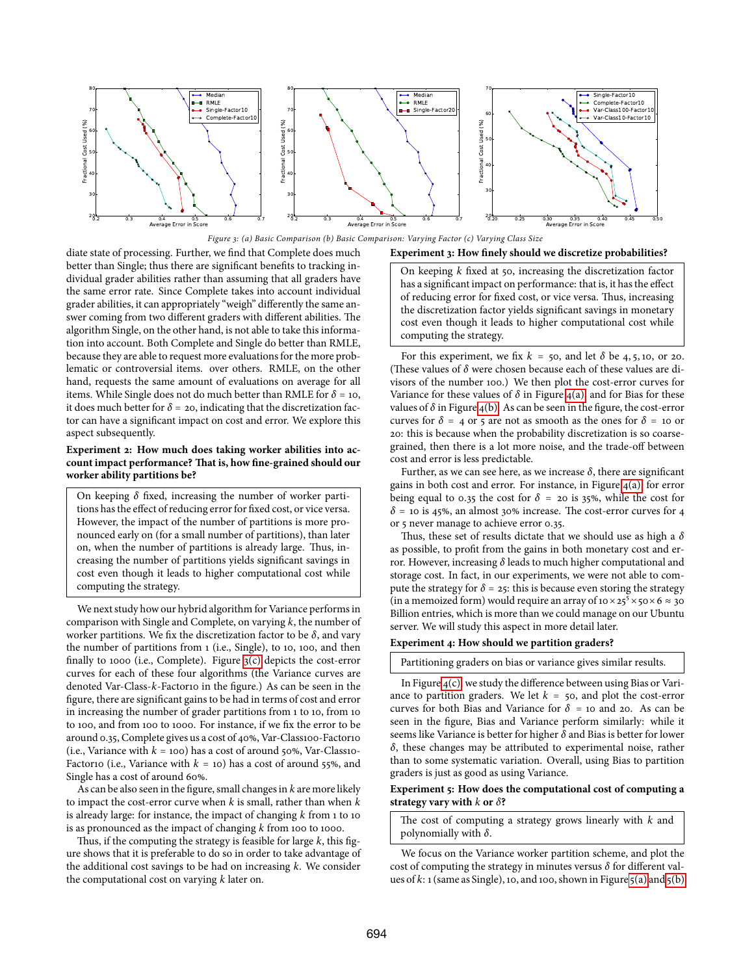<span id="page-9-0"></span>

<span id="page-9-1"></span>

diate state of processing. Further, we find that Complete does much better than Single; thus there are significant benefits to tracking individual grader abilities rather than assuming that all graders have the same error rate. Since Complete takes into account individual grader abilities, it can appropriately "weigh" differently the same answer coming from two different graders with different abilities. The algorithm Single, on the other hand, is not able to take this information into account. Both Complete and Single do better than RMLE, because they are able to request more evaluations for the more problematic or controversial items. over others. RMLE, on the other hand, requests the same amount of evaluations on average for all items. While Single does not do much better than RMLE for  $\delta$  = 10, it does much better for  $\delta$  = 20, indicating that the discretization factor can have a significant impact on cost and error. We explore this aspect subsequently.

#### **Experiment 2: How much does taking worker abilities into ac**count impact performance? That is, how fine-grained should our **worker ability partitions be?**

On keeping  $\delta$  fixed, increasing the number of worker partitions has the effect of reducing error for fixed cost, or vice versa. However, the impact of the number of partitions is more pronounced early on (for a small number of partitions), than later on, when the number of partitions is already large. Thus, increasing the number of partitions yields signicant savings in cost even though it leads to higher computational cost while computing the strategy.

We next study how our hybrid algorithm for Variance performs in comparison with Single and Complete, on varying  $k$ , the number of worker partitions. We fix the discretization factor to be  $\delta$ , and vary the number of partitions from 1 (i.e., Single), to 10, 100, and then finally to 1000 (i.e., Complete). Figure  $3(c)$  depicts the cost-error curves for each of these four algorithms (the Variance curves are denoted Var-Class-k-Factor10 in the figure.) As can be seen in the figure, there are significant gains to be had in terms of cost and error in increasing the number of grader partitions from 1 to 10, from 10 to 100, and from 100 to 1000. For instance, if we fix the error to be around 0.35, Complete gives us a cost of 40%, Var-Class100-Factor10 (i.e., Variance with  $k = 100$ ) has a cost of around 50%, Var-Class10-Factor10 (i.e., Variance with  $k = 10$ ) has a cost of around 55%, and Single has a cost of around 60%.

As can be also seen in the figure, small changes in  $k$  are more likely to impact the cost-error curve when  $k$  is small, rather than when  $k$ is already large: for instance, the impact of changing  $k$  from 1 to 10 is as pronounced as the impact of changing k from 100 to 1000.

Thus, if the computing the strategy is feasible for large  $k$ , this figure shows that it is preferable to do so in order to take advantage of the additional cost savings to be had on increasing  $k$ . We consider the computational cost on varying  $k$  later on.

Experiment 3: How finely should we discretize probabilities?

<span id="page-9-2"></span>On keeping  $k$  fixed at 50, increasing the discretization factor has a significant impact on performance: that is, it has the effect of reducing error for fixed cost, or vice versa. Thus, increasing the discretization factor yields significant savings in monetary cost even though it leads to higher computational cost while computing the strategy.

For this experiment, we fix  $k = 50$ , and let  $\delta$  be 4, 5, 10, or 20. (These values of  $\delta$  were chosen because each of these values are divisors of the number 100.) We then plot the cost-error curves for Variance for these values of  $\delta$  in Figure [4\(a\),](#page-10-2) and for Bias for these values of  $\delta$  in Figure [4\(b\).](#page-10-3) As can be seen in the figure, the cost-error curves for  $\delta = 4$  or 5 are not as smooth as the ones for  $\delta = 10$  or 20: this is because when the probability discretization is so coarsegrained, then there is a lot more noise, and the trade-off between cost and error is less predictable.

Further, as we can see here, as we increase  $\delta$ , there are significant gains in both cost and error. For instance, in Figure  $4(a)$ , for error being equal to 0.35 the cost for  $\delta$  = 20 is 35%, while the cost for  $\delta$  = 10 is 45%, an almost 30% increase. The cost-error curves for 4 or 5 never manage to achieve error 0.35.

Thus, these set of results dictate that we should use as high a  $\delta$ as possible, to profit from the gains in both monetary cost and error. However, increasing δ leads to much higher computational and storage cost. In fact, in our experiments, we were not able to compute the strategy for  $\delta = 25$ : this is because even storing the strategy (in a memoized form) would require an array of  $10 \times 25^5 \times 50 \times 6 \approx 30$ Billion entries, which is more than we could manage on our Ubuntu server. We will study this aspect in more detail later.

#### **Experiment 4: How should we partition graders?**

Partitioning graders on bias or variance gives similar results.

In Figure  $4(c)$ , we study the difference between using Bias or Variance to partition graders. We let  $k = 50$ , and plot the cost-error curves for both Bias and Variance for  $\delta$  = 10 and 20. As can be seen in the figure, Bias and Variance perform similarly: while it seems like Variance is better for higher  $\delta$  and Bias is better for lower  $\delta$ , these changes may be attributed to experimental noise, rather than to some systematic variation. Overall, using Bias to partition graders is just as good as using Variance.

#### **Experiment 5: How does the computational cost of computing a strategy vary with** k **or** δ**?**

The cost of computing a strategy grows linearly with  $k$  and polynomially with  $\delta$ .

We focus on the Variance worker partition scheme, and plot the cost of computing the strategy in minutes versus  $\delta$  for different values of  $k: 1$  (same as Single), 10, and 100, shown in Figure [5\(a\) a](#page-11-22)nd [5\(b\)](#page-11-23)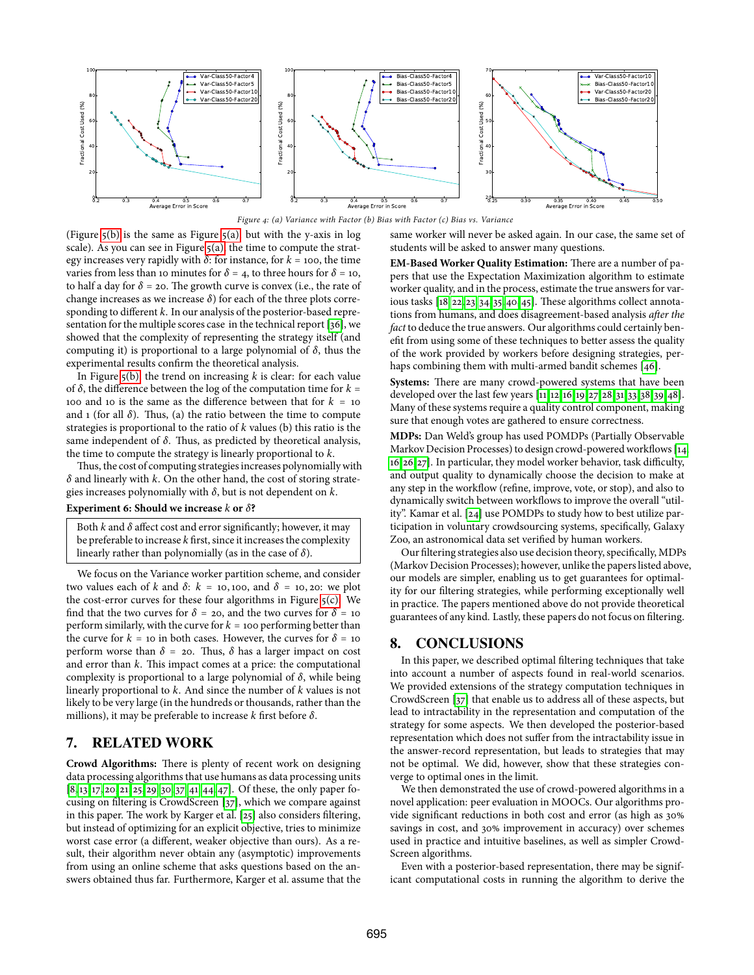<span id="page-10-2"></span>

<span id="page-10-3"></span>

(Figure [5\(b\)](#page-11-23) is the same as Figure [5\(a\),](#page-11-22) but with the y-axis in log scale). As you can see in Figure [5\(a\),](#page-11-22) the time to compute the strategy increases very rapidly with  $\delta$ : for instance, for  $k = 100$ , the time varies from less than 10 minutes for  $\delta = 4$ , to three hours for  $\delta = 10$ , to half a day for  $\delta$  = 20. The growth curve is convex (i.e., the rate of change increases as we increase  $\delta$ ) for each of the three plots corresponding to different  $k$ . In our analysis of the posterior-based representation for the multiple scores case in the technical report [\[36\]](#page-11-14), we showed that the complexity of representing the strategy itself (and computing it) is proportional to a large polynomial of  $\delta$ , thus the experimental results confirm the theoretical analysis.

In Figure  $5(b)$ , the trend on increasing k is clear: for each value of  $\delta$ , the difference between the log of the computation time for  $k =$ 100 and 10 is the same as the difference between that for  $k = 10$ and 1 (for all  $\delta$ ). Thus, (a) the ratio between the time to compute strategies is proportional to the ratio of  $k$  values (b) this ratio is the same independent of  $\delta$ . Thus, as predicted by theoretical analysis, the time to compute the strategy is linearly proportional to  $k$ .

Thus, the cost of computing strategies increases polynomially with  $\delta$  and linearly with  $k$ . On the other hand, the cost of storing strategies increases polynomially with  $\delta$ , but is not dependent on  $k$ .

## **Experiment 6: Should we increase** k **or** δ**?**

Both  $k$  and  $\delta$  affect cost and error significantly; however, it may be preferable to increase  $k$  first, since it increases the complexity linearly rather than polynomially (as in the case of  $\delta$ ).

We focus on the Variance worker partition scheme, and consider two values each of k and  $\delta$ :  $k = 10, 100,$  and  $\delta = 10, 20$ : we plot the cost-error curves for these four algorithms in Figure  $5(c)$ . We find that the two curves for  $\delta = 20$ , and the two curves for  $\delta = 10$ perform similarly, with the curve for  $k = 100$  performing better than the curve for  $k = 10$  in both cases. However, the curves for  $\delta = 10$ perform worse than  $\delta$  = 20. Thus,  $\delta$  has a larger impact on cost and error than  $k$ . This impact comes at a price: the computational complexity is proportional to a large polynomial of  $\delta$ , while being linearly proportional to  $k$ . And since the number of  $k$  values is not likely to be very large (in the hundreds or thousands, rather than the millions), it may be preferable to increase  $k$  first before  $\delta$ .

# <span id="page-10-0"></span>7. RELATED WORK

**Crowd Algorithms:** There is plenty of recent work on designing data processing algorithms that use humans as data processing units [\[8,](#page-11-25) [13,](#page-11-26) [17,](#page-11-27) [20,](#page-11-1) [21,](#page-11-2) [25,](#page-11-28) [29,](#page-11-29) [30,](#page-11-0) [37,](#page-11-4) [41,](#page-11-3) [44,](#page-11-30) [47\]](#page-11-5). Of these, the only paper focusing on filtering is CrowdScreen  $[37]$ , which we compare against in this paper. The work by Karger et al.  $[25]$  also considers filtering, but instead of optimizing for an explicit objective, tries to minimize worst case error (a different, weaker objective than ours). As a result, their algorithm never obtain any (asymptotic) improvements from using an online scheme that asks questions based on the answers obtained thus far. Furthermore, Karger et al. assume that the <span id="page-10-4"></span>same worker will never be asked again. In our case, the same set of students will be asked to answer many questions.

**EM-Based Worker Quality Estimation:** There are a number of papers that use the Expectation Maximization algorithm to estimate worker quality, and in the process, estimate the true answers for various tasks  $[18, 22, 23, 34, 35, 40, 45]$  $[18, 22, 23, 34, 35, 40, 45]$  $[18, 22, 23, 34, 35, 40, 45]$  $[18, 22, 23, 34, 35, 40, 45]$  $[18, 22, 23, 34, 35, 40, 45]$  $[18, 22, 23, 34, 35, 40, 45]$  $[18, 22, 23, 34, 35, 40, 45]$ . These algorithms collect annotations from humans, and does disagreement-based analysis after the fact to deduce the true answers. Our algorithms could certainly benefit from using some of these techniques to better assess the quality of the work provided by workers before designing strategies, per-haps combining them with multi-armed bandit schemes [\[46\]](#page-11-38).

**Systems:** There are many crowd-powered systems that have been developed over the last few years [\[11,](#page-11-39) [12,](#page-11-40) [16,](#page-11-41) [19,](#page-11-12)[27,](#page-11-42)[28,](#page-11-43) [31,](#page-11-44) [33,](#page-11-45) [38,](#page-11-46) [39,](#page-11-13)[48\]](#page-11-47). Many of these systems require a quality control component, making sure that enough votes are gathered to ensure correctness.

**MDPs:** Dan Weld's group has used POMDPs (Partially Observable Markov Decision Processes) to design crowd-powered workflows [\[14,](#page-11-48)  $16,26,27$  $16,26,27$  $16,26,27$ ]. In particular, they model worker behavior, task difficulty, and output quality to dynamically choose the decision to make at any step in the workflow (refine, improve, vote, or stop), and also to dynamically switch between workflows to improve the overall "utility". Kamar et al. [\[24\]](#page-11-50) use POMDPs to study how to best utilize participation in voluntary crowdsourcing systems, specifically, Galaxy Zoo, an astronomical data set verified by human workers.

Our filtering strategies also use decision theory, specifically, MDPs (Markov Decision Processes); however, unlike the papers listed above, our models are simpler, enabling us to get guarantees for optimality for our filtering strategies, while performing exceptionally well in practice. The papers mentioned above do not provide theoretical guarantees of any kind. Lastly, these papers do not focus on filtering.

## <span id="page-10-1"></span>8. CONCLUSIONS

In this paper, we described optimal filtering techniques that take into account a number of aspects found in real-world scenarios. We provided extensions of the strategy computation techniques in CrowdScreen [\[37\]](#page-11-4) that enable us to address all of these aspects, but lead to intractability in the representation and computation of the strategy for some aspects. We then developed the posterior-based representation which does not suffer from the intractability issue in the answer-record representation, but leads to strategies that may not be optimal. We did, however, show that these strategies converge to optimal ones in the limit.

We then demonstrated the use of crowd-powered algorithms in a novel application: peer evaluation in MOOCs. Our algorithms provide significant reductions in both cost and error (as high as 30% savings in cost, and 30% improvement in accuracy) over schemes used in practice and intuitive baselines, as well as simpler Crowd-Screen algorithms.

Even with a posterior-based representation, there may be significant computational costs in running the algorithm to derive the